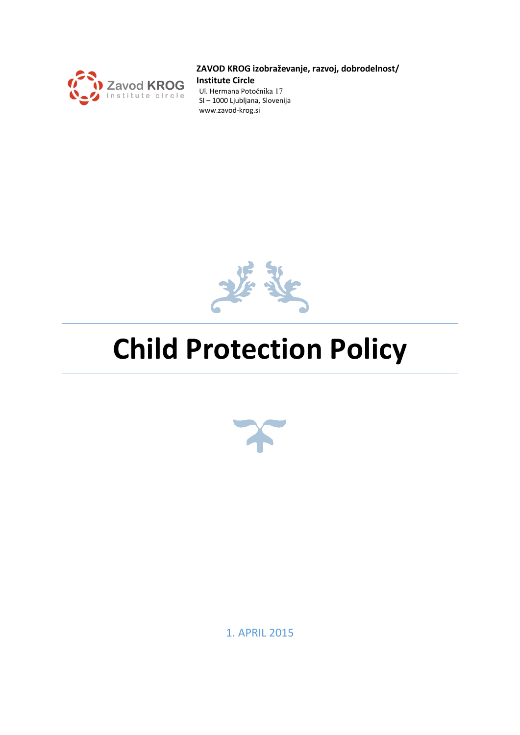

#### **ZAVOD KROG izobraževanje, razvoj, dobrodelnost/**

**Institute Circle**

Ul. Hermana Potočnika 17 SI – 1000 Ljubljana, Slovenija www.zavod-krog.si



# **Child Protection Policy**



1. APRIL 2015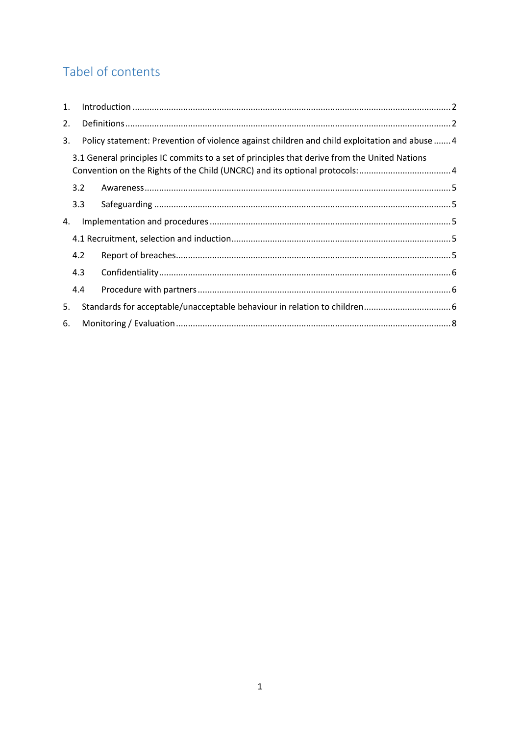# Tabel of contents

| 1. |     |                                                                                               |  |  |
|----|-----|-----------------------------------------------------------------------------------------------|--|--|
| 2. |     |                                                                                               |  |  |
| 3. |     | Policy statement: Prevention of violence against children and child exploitation and abuse  4 |  |  |
|    |     | 3.1 General principles IC commits to a set of principles that derive from the United Nations  |  |  |
|    | 3.2 |                                                                                               |  |  |
|    | 3.3 |                                                                                               |  |  |
| 4. |     |                                                                                               |  |  |
|    |     |                                                                                               |  |  |
|    | 4.2 |                                                                                               |  |  |
|    | 4.3 |                                                                                               |  |  |
|    | 4.4 |                                                                                               |  |  |
| 5. |     |                                                                                               |  |  |
| 6. |     |                                                                                               |  |  |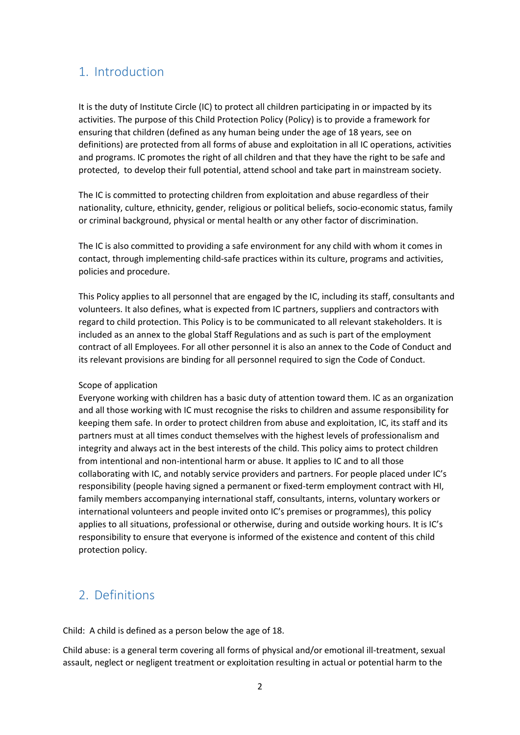## <span id="page-2-0"></span>1. Introduction

It is the duty of Institute Circle (IC) to protect all children participating in or impacted by its activities. The purpose of this Child Protection Policy (Policy) is to provide a framework for ensuring that children (defined as any human being under the age of 18 years, see on definitions) are protected from all forms of abuse and exploitation in all IC operations, activities and programs. IC promotes the right of all children and that they have the right to be safe and protected, to develop their full potential, attend school and take part in mainstream society.

The IC is committed to protecting children from exploitation and abuse regardless of their nationality, culture, ethnicity, gender, religious or political beliefs, socio-economic status, family or criminal background, physical or mental health or any other factor of discrimination.

The IC is also committed to providing a safe environment for any child with whom it comes in contact, through implementing child-safe practices within its culture, programs and activities, policies and procedure.

This Policy applies to all personnel that are engaged by the IC, including its staff, consultants and volunteers. It also defines, what is expected from IC partners, suppliers and contractors with regard to child protection. This Policy is to be communicated to all relevant stakeholders. It is included as an annex to the global Staff Regulations and as such is part of the employment contract of all Employees. For all other personnel it is also an annex to the Code of Conduct and its relevant provisions are binding for all personnel required to sign the Code of Conduct.

#### Scope of application

Everyone working with children has a basic duty of attention toward them. IC as an organization and all those working with IC must recognise the risks to children and assume responsibility for keeping them safe. In order to protect children from abuse and exploitation, IC, its staff and its partners must at all times conduct themselves with the highest levels of professionalism and integrity and always act in the best interests of the child. This policy aims to protect children from intentional and non-intentional harm or abuse. It applies to IC and to all those collaborating with IC, and notably service providers and partners. For people placed under IC's responsibility (people having signed a permanent or fixed-term employment contract with HI, family members accompanying international staff, consultants, interns, voluntary workers or international volunteers and people invited onto IC's premises or programmes), this policy applies to all situations, professional or otherwise, during and outside working hours. It is IC's responsibility to ensure that everyone is informed of the existence and content of this child protection policy.

## <span id="page-2-1"></span>2. Definitions

Child: A child is defined as a person below the age of 18.

Child abuse: is a general term covering all forms of physical and/or emotional ill-treatment, sexual assault, neglect or negligent treatment or exploitation resulting in actual or potential harm to the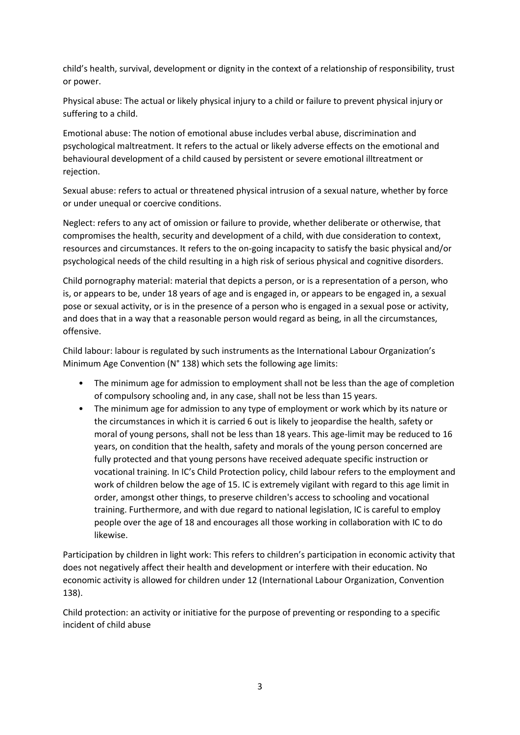child's health, survival, development or dignity in the context of a relationship of responsibility, trust or power.

Physical abuse: The actual or likely physical injury to a child or failure to prevent physical injury or suffering to a child.

Emotional abuse: The notion of emotional abuse includes verbal abuse, discrimination and psychological maltreatment. It refers to the actual or likely adverse effects on the emotional and behavioural development of a child caused by persistent or severe emotional illtreatment or rejection.

Sexual abuse: refers to actual or threatened physical intrusion of a sexual nature, whether by force or under unequal or coercive conditions.

Neglect: refers to any act of omission or failure to provide, whether deliberate or otherwise, that compromises the health, security and development of a child, with due consideration to context, resources and circumstances. It refers to the on-going incapacity to satisfy the basic physical and/or psychological needs of the child resulting in a high risk of serious physical and cognitive disorders.

Child pornography material: material that depicts a person, or is a representation of a person, who is, or appears to be, under 18 years of age and is engaged in, or appears to be engaged in, a sexual pose or sexual activity, or is in the presence of a person who is engaged in a sexual pose or activity, and does that in a way that a reasonable person would regard as being, in all the circumstances, offensive.

Child labour: labour is regulated by such instruments as the International Labour Organization's Minimum Age Convention (N° 138) which sets the following age limits:

- The minimum age for admission to employment shall not be less than the age of completion of compulsory schooling and, in any case, shall not be less than 15 years.
- The minimum age for admission to any type of employment or work which by its nature or the circumstances in which it is carried 6 out is likely to jeopardise the health, safety or moral of young persons, shall not be less than 18 years. This age-limit may be reduced to 16 years, on condition that the health, safety and morals of the young person concerned are fully protected and that young persons have received adequate specific instruction or vocational training. In IC's Child Protection policy, child labour refers to the employment and work of children below the age of 15. IC is extremely vigilant with regard to this age limit in order, amongst other things, to preserve children's access to schooling and vocational training. Furthermore, and with due regard to national legislation, IC is careful to employ people over the age of 18 and encourages all those working in collaboration with IC to do likewise.

Participation by children in light work: This refers to children's participation in economic activity that does not negatively affect their health and development or interfere with their education. No economic activity is allowed for children under 12 (International Labour Organization, Convention 138).

Child protection: an activity or initiative for the purpose of preventing or responding to a specific incident of child abuse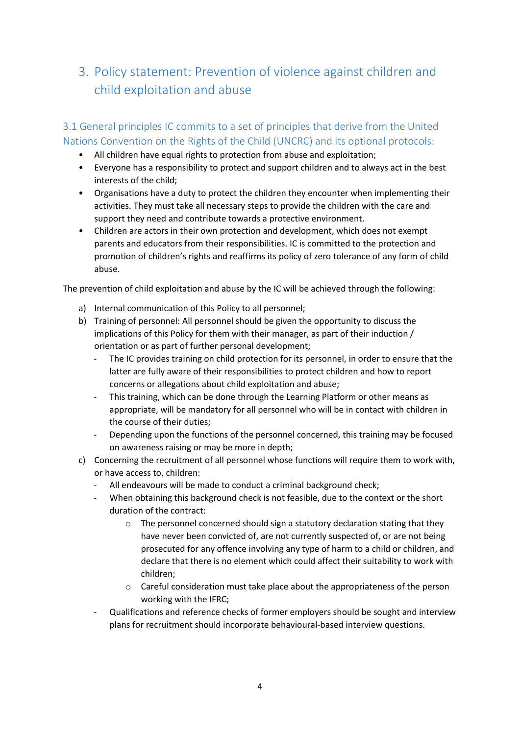## <span id="page-4-0"></span>3. Policy statement: Prevention of violence against children and child exploitation and abuse

<span id="page-4-1"></span>3.1 General principles IC commits to a set of principles that derive from the United Nations Convention on the Rights of the Child (UNCRC) and its optional protocols:

- All children have equal rights to protection from abuse and exploitation;
- Everyone has a responsibility to protect and support children and to always act in the best interests of the child;
- Organisations have a duty to protect the children they encounter when implementing their activities. They must take all necessary steps to provide the children with the care and support they need and contribute towards a protective environment.
- Children are actors in their own protection and development, which does not exempt parents and educators from their responsibilities. IC is committed to the protection and promotion of children's rights and reaffirms its policy of zero tolerance of any form of child abuse.

The prevention of child exploitation and abuse by the IC will be achieved through the following:

- a) Internal communication of this Policy to all personnel;
- b) Training of personnel: All personnel should be given the opportunity to discuss the implications of this Policy for them with their manager, as part of their induction / orientation or as part of further personal development;
	- The IC provides training on child protection for its personnel, in order to ensure that the latter are fully aware of their responsibilities to protect children and how to report concerns or allegations about child exploitation and abuse;
	- This training, which can be done through the Learning Platform or other means as appropriate, will be mandatory for all personnel who will be in contact with children in the course of their duties;
	- Depending upon the functions of the personnel concerned, this training may be focused on awareness raising or may be more in depth;
- c) Concerning the recruitment of all personnel whose functions will require them to work with, or have access to, children:
	- All endeavours will be made to conduct a criminal background check;
	- When obtaining this background check is not feasible, due to the context or the short duration of the contract:
		- $\circ$  The personnel concerned should sign a statutory declaration stating that they have never been convicted of, are not currently suspected of, or are not being prosecuted for any offence involving any type of harm to a child or children, and declare that there is no element which could affect their suitability to work with children;
		- o Careful consideration must take place about the appropriateness of the person working with the IFRC;
	- Qualifications and reference checks of former employers should be sought and interview plans for recruitment should incorporate behavioural-based interview questions.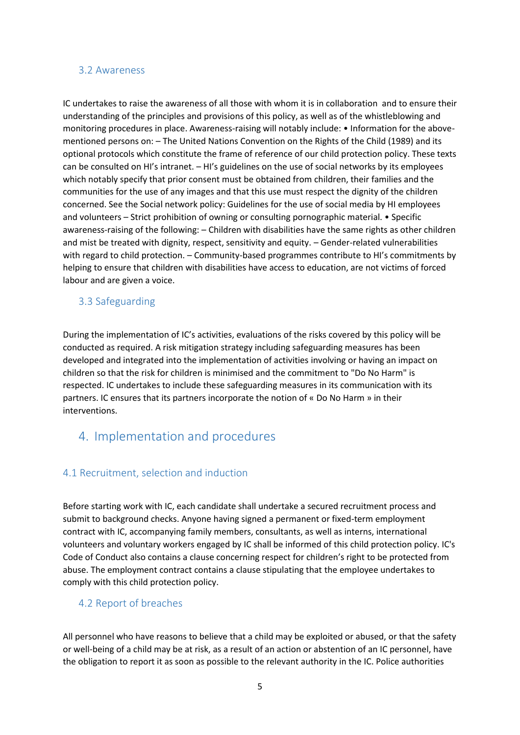#### <span id="page-5-0"></span>3.2 Awareness

IC undertakes to raise the awareness of all those with whom it is in collaboration and to ensure their understanding of the principles and provisions of this policy, as well as of the whistleblowing and monitoring procedures in place. Awareness-raising will notably include: • Information for the abovementioned persons on: – The United Nations Convention on the Rights of the Child (1989) and its optional protocols which constitute the frame of reference of our child protection policy. These texts can be consulted on HI's intranet. – HI's guidelines on the use of social networks by its employees which notably specify that prior consent must be obtained from children, their families and the communities for the use of any images and that this use must respect the dignity of the children concerned. See the Social network policy: Guidelines for the use of social media by HI employees and volunteers – Strict prohibition of owning or consulting pornographic material. • Specific awareness-raising of the following: – Children with disabilities have the same rights as other children and mist be treated with dignity, respect, sensitivity and equity. – Gender-related vulnerabilities with regard to child protection. – Community-based programmes contribute to HI's commitments by helping to ensure that children with disabilities have access to education, are not victims of forced labour and are given a voice.

#### <span id="page-5-1"></span>3.3 Safeguarding

During the implementation of IC's activities, evaluations of the risks covered by this policy will be conducted as required. A risk mitigation strategy including safeguarding measures has been developed and integrated into the implementation of activities involving or having an impact on children so that the risk for children is minimised and the commitment to "Do No Harm" is respected. IC undertakes to include these safeguarding measures in its communication with its partners. IC ensures that its partners incorporate the notion of « Do No Harm » in their interventions.

## <span id="page-5-2"></span>4. Implementation and procedures

#### <span id="page-5-3"></span>4.1 Recruitment, selection and induction

Before starting work with IC, each candidate shall undertake a secured recruitment process and submit to background checks. Anyone having signed a permanent or fixed-term employment contract with IC, accompanying family members, consultants, as well as interns, international volunteers and voluntary workers engaged by IC shall be informed of this child protection policy. IC's Code of Conduct also contains a clause concerning respect for children's right to be protected from abuse. The employment contract contains a clause stipulating that the employee undertakes to comply with this child protection policy.

#### <span id="page-5-4"></span>4.2 Report of breaches

All personnel who have reasons to believe that a child may be exploited or abused, or that the safety or well-being of a child may be at risk, as a result of an action or abstention of an IC personnel, have the obligation to report it as soon as possible to the relevant authority in the IC. Police authorities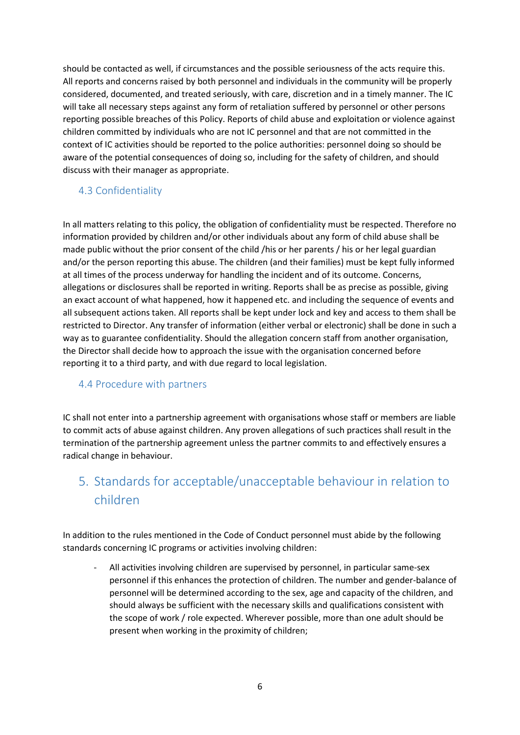should be contacted as well, if circumstances and the possible seriousness of the acts require this. All reports and concerns raised by both personnel and individuals in the community will be properly considered, documented, and treated seriously, with care, discretion and in a timely manner. The IC will take all necessary steps against any form of retaliation suffered by personnel or other persons reporting possible breaches of this Policy. Reports of child abuse and exploitation or violence against children committed by individuals who are not IC personnel and that are not committed in the context of IC activities should be reported to the police authorities: personnel doing so should be aware of the potential consequences of doing so, including for the safety of children, and should discuss with their manager as appropriate.

#### <span id="page-6-0"></span>4.3 Confidentiality

In all matters relating to this policy, the obligation of confidentiality must be respected. Therefore no information provided by children and/or other individuals about any form of child abuse shall be made public without the prior consent of the child /his or her parents / his or her legal guardian and/or the person reporting this abuse. The children (and their families) must be kept fully informed at all times of the process underway for handling the incident and of its outcome. Concerns, allegations or disclosures shall be reported in writing. Reports shall be as precise as possible, giving an exact account of what happened, how it happened etc. and including the sequence of events and all subsequent actions taken. All reports shall be kept under lock and key and access to them shall be restricted to Director. Any transfer of information (either verbal or electronic) shall be done in such a way as to guarantee confidentiality. Should the allegation concern staff from another organisation, the Director shall decide how to approach the issue with the organisation concerned before reporting it to a third party, and with due regard to local legislation.

#### <span id="page-6-1"></span>4.4 Procedure with partners

IC shall not enter into a partnership agreement with organisations whose staff or members are liable to commit acts of abuse against children. Any proven allegations of such practices shall result in the termination of the partnership agreement unless the partner commits to and effectively ensures a radical change in behaviour.

# <span id="page-6-2"></span>5. Standards for acceptable/unacceptable behaviour in relation to children

In addition to the rules mentioned in the Code of Conduct personnel must abide by the following standards concerning IC programs or activities involving children:

All activities involving children are supervised by personnel, in particular same-sex personnel if this enhances the protection of children. The number and gender-balance of personnel will be determined according to the sex, age and capacity of the children, and should always be sufficient with the necessary skills and qualifications consistent with the scope of work / role expected. Wherever possible, more than one adult should be present when working in the proximity of children;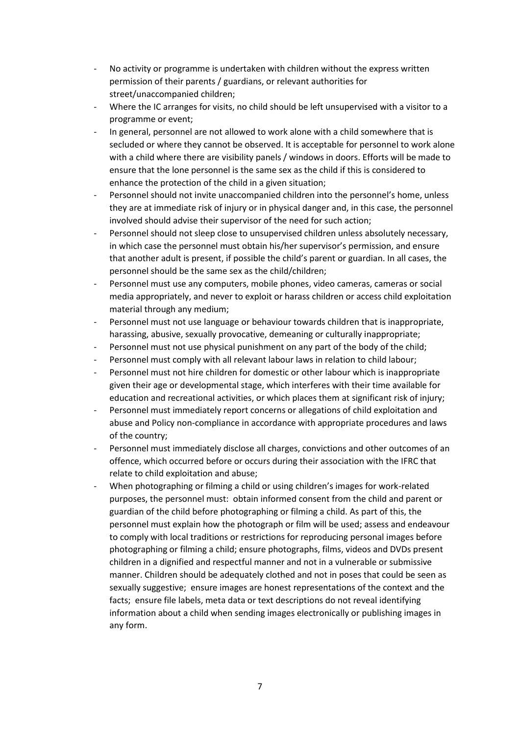- No activity or programme is undertaken with children without the express written permission of their parents / guardians, or relevant authorities for street/unaccompanied children;
- Where the IC arranges for visits, no child should be left unsupervised with a visitor to a programme or event;
- In general, personnel are not allowed to work alone with a child somewhere that is secluded or where they cannot be observed. It is acceptable for personnel to work alone with a child where there are visibility panels / windows in doors. Efforts will be made to ensure that the lone personnel is the same sex as the child if this is considered to enhance the protection of the child in a given situation;
- Personnel should not invite unaccompanied children into the personnel's home, unless they are at immediate risk of injury or in physical danger and, in this case, the personnel involved should advise their supervisor of the need for such action;
- Personnel should not sleep close to unsupervised children unless absolutely necessary, in which case the personnel must obtain his/her supervisor's permission, and ensure that another adult is present, if possible the child's parent or guardian. In all cases, the personnel should be the same sex as the child/children;
- Personnel must use any computers, mobile phones, video cameras, cameras or social media appropriately, and never to exploit or harass children or access child exploitation material through any medium;
- Personnel must not use language or behaviour towards children that is inappropriate, harassing, abusive, sexually provocative, demeaning or culturally inappropriate;
- Personnel must not use physical punishment on any part of the body of the child;
- Personnel must comply with all relevant labour laws in relation to child labour;
- Personnel must not hire children for domestic or other labour which is inappropriate given their age or developmental stage, which interferes with their time available for education and recreational activities, or which places them at significant risk of injury;
- Personnel must immediately report concerns or allegations of child exploitation and abuse and Policy non-compliance in accordance with appropriate procedures and laws of the country;
- Personnel must immediately disclose all charges, convictions and other outcomes of an offence, which occurred before or occurs during their association with the IFRC that relate to child exploitation and abuse;
- When photographing or filming a child or using children's images for work-related purposes, the personnel must: obtain informed consent from the child and parent or guardian of the child before photographing or filming a child. As part of this, the personnel must explain how the photograph or film will be used; assess and endeavour to comply with local traditions or restrictions for reproducing personal images before photographing or filming a child; ensure photographs, films, videos and DVDs present children in a dignified and respectful manner and not in a vulnerable or submissive manner. Children should be adequately clothed and not in poses that could be seen as sexually suggestive; ensure images are honest representations of the context and the facts; ensure file labels, meta data or text descriptions do not reveal identifying information about a child when sending images electronically or publishing images in any form.